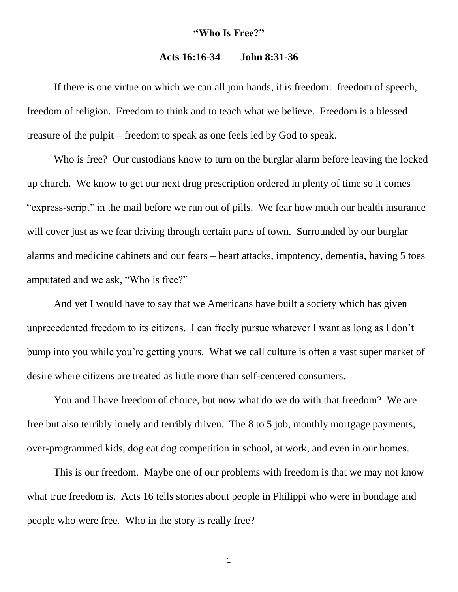## **"Who Is Free?"**

## **Acts 16:16-34 John 8:31-36**

If there is one virtue on which we can all join hands, it is freedom: freedom of speech, freedom of religion. Freedom to think and to teach what we believe. Freedom is a blessed treasure of the pulpit – freedom to speak as one feels led by God to speak.

Who is free? Our custodians know to turn on the burglar alarm before leaving the locked up church. We know to get our next drug prescription ordered in plenty of time so it comes "express-script" in the mail before we run out of pills. We fear how much our health insurance will cover just as we fear driving through certain parts of town. Surrounded by our burglar alarms and medicine cabinets and our fears – heart attacks, impotency, dementia, having 5 toes amputated and we ask, "Who is free?"

And yet I would have to say that we Americans have built a society which has given unprecedented freedom to its citizens. I can freely pursue whatever I want as long as I don't bump into you while you're getting yours. What we call culture is often a vast super market of desire where citizens are treated as little more than self-centered consumers.

You and I have freedom of choice, but now what do we do with that freedom? We are free but also terribly lonely and terribly driven. The 8 to 5 job, monthly mortgage payments, over-programmed kids, dog eat dog competition in school, at work, and even in our homes.

This is our freedom. Maybe one of our problems with freedom is that we may not know what true freedom is. Acts 16 tells stories about people in Philippi who were in bondage and people who were free. Who in the story is really free?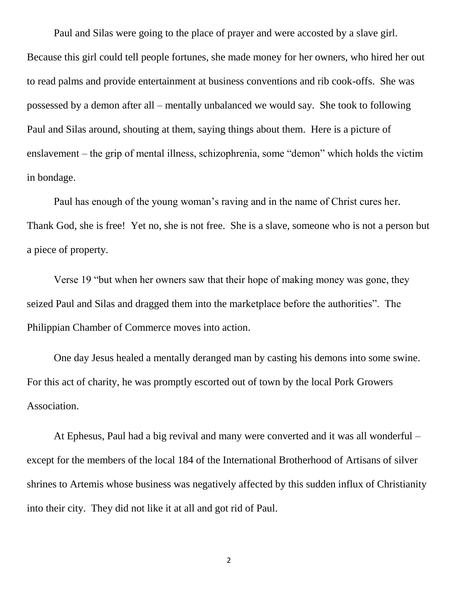Paul and Silas were going to the place of prayer and were accosted by a slave girl. Because this girl could tell people fortunes, she made money for her owners, who hired her out to read palms and provide entertainment at business conventions and rib cook-offs. She was possessed by a demon after all – mentally unbalanced we would say. She took to following Paul and Silas around, shouting at them, saying things about them. Here is a picture of enslavement – the grip of mental illness, schizophrenia, some "demon" which holds the victim in bondage.

Paul has enough of the young woman's raving and in the name of Christ cures her. Thank God, she is free! Yet no, she is not free. She is a slave, someone who is not a person but a piece of property.

Verse 19 "but when her owners saw that their hope of making money was gone, they seized Paul and Silas and dragged them into the marketplace before the authorities". The Philippian Chamber of Commerce moves into action.

One day Jesus healed a mentally deranged man by casting his demons into some swine. For this act of charity, he was promptly escorted out of town by the local Pork Growers Association.

At Ephesus, Paul had a big revival and many were converted and it was all wonderful – except for the members of the local 184 of the International Brotherhood of Artisans of silver shrines to Artemis whose business was negatively affected by this sudden influx of Christianity into their city. They did not like it at all and got rid of Paul.

2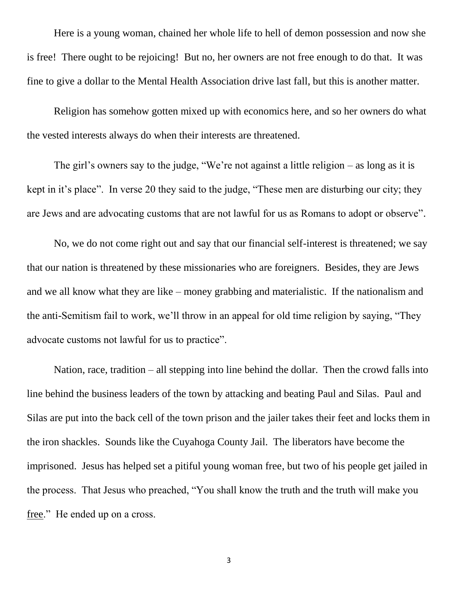Here is a young woman, chained her whole life to hell of demon possession and now she is free! There ought to be rejoicing! But no, her owners are not free enough to do that. It was fine to give a dollar to the Mental Health Association drive last fall, but this is another matter.

Religion has somehow gotten mixed up with economics here, and so her owners do what the vested interests always do when their interests are threatened.

The girl's owners say to the judge, "We're not against a little religion – as long as it is kept in it's place". In verse 20 they said to the judge, "These men are disturbing our city; they are Jews and are advocating customs that are not lawful for us as Romans to adopt or observe".

No, we do not come right out and say that our financial self-interest is threatened; we say that our nation is threatened by these missionaries who are foreigners. Besides, they are Jews and we all know what they are like – money grabbing and materialistic. If the nationalism and the anti-Semitism fail to work, we'll throw in an appeal for old time religion by saying, "They advocate customs not lawful for us to practice".

Nation, race, tradition – all stepping into line behind the dollar. Then the crowd falls into line behind the business leaders of the town by attacking and beating Paul and Silas. Paul and Silas are put into the back cell of the town prison and the jailer takes their feet and locks them in the iron shackles. Sounds like the Cuyahoga County Jail. The liberators have become the imprisoned. Jesus has helped set a pitiful young woman free, but two of his people get jailed in the process. That Jesus who preached, "You shall know the truth and the truth will make you free." He ended up on a cross.

3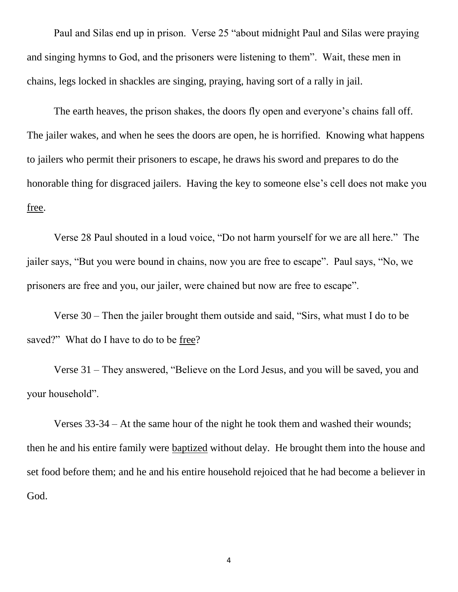Paul and Silas end up in prison. Verse 25 "about midnight Paul and Silas were praying and singing hymns to God, and the prisoners were listening to them". Wait, these men in chains, legs locked in shackles are singing, praying, having sort of a rally in jail.

The earth heaves, the prison shakes, the doors fly open and everyone's chains fall off. The jailer wakes, and when he sees the doors are open, he is horrified. Knowing what happens to jailers who permit their prisoners to escape, he draws his sword and prepares to do the honorable thing for disgraced jailers. Having the key to someone else's cell does not make you free.

Verse 28 Paul shouted in a loud voice, "Do not harm yourself for we are all here." The jailer says, "But you were bound in chains, now you are free to escape". Paul says, "No, we prisoners are free and you, our jailer, were chained but now are free to escape".

Verse 30 – Then the jailer brought them outside and said, "Sirs, what must I do to be saved?" What do I have to do to be free?

Verse 31 – They answered, "Believe on the Lord Jesus, and you will be saved, you and your household".

Verses 33-34 – At the same hour of the night he took them and washed their wounds; then he and his entire family were baptized without delay. He brought them into the house and set food before them; and he and his entire household rejoiced that he had become a believer in God.

4